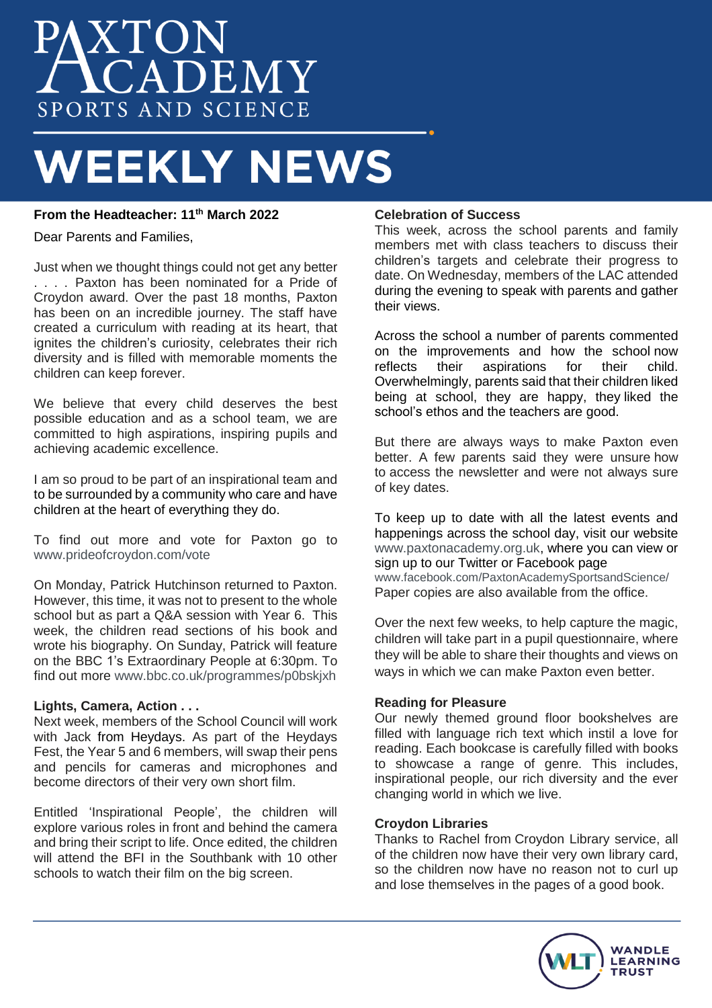# PAXTON SPORTS AND SCIENCE

# **WEEKLY NEWS**

# **From the Headteacher: 11th March 2022**

Dear Parents and Families,

Just when we thought things could not get any better . . . . Paxton has been nominated for a Pride of Croydon award. Over the past 18 months, Paxton has been on an incredible journey. The staff have created a curriculum with reading at its heart, that ignites the children's curiosity, celebrates their rich diversity and is filled with memorable moments the children can keep forever.

We believe that every child deserves the best possible education and as a school team, we are committed to high aspirations, inspiring pupils and achieving academic excellence.

I am so proud to be part of an inspirational team and to be surrounded by a community who care and have children at the heart of everything they do.

To find out more and vote for Paxton go to [www.prideofcroydon.com/vote](http://www.prideofcroydon.com/vote)

On Monday, Patrick Hutchinson returned to Paxton. However, this time, it was not to present to the whole school but as part a Q&A session with Year 6. This week, the children read sections of his book and wrote his biography. On Sunday, Patrick will feature on the BBC 1's Extraordinary People at 6:30pm. To find out more [www.bbc.co.uk/programmes/p0bskjxh](http://www.bbc.co.uk/programmes/p0bskjxh)

## **Lights, Camera, Action . . .**

Next week, members of the School Council will work with Jack from Heydays. As part of the Heydays Fest, the Year 5 and 6 members, will swap their pens and pencils for cameras and microphones and become directors of their very own short film.

Entitled 'Inspirational People', the children will explore various roles in front and behind the camera and bring their script to life. Once edited, the children will attend the BFI in the Southbank with 10 other schools to watch their film on the big screen.

#### **Celebration of Success**

This week, across the school parents and family members met with class teachers to discuss their children's targets and celebrate their progress to date. On Wednesday, members of the LAC attended during the evening to speak with parents and gather their views.

Across the school a number of parents commented on the improvements and how the school now<br>reflects their aspirations for their child reflects their aspirations for their Overwhelmingly, parents said that their children liked being at school, they are happy, they liked the school's ethos and the teachers are good.

But there are always ways to make Paxton even better. A few parents said they were unsure how to access the newsletter and were not always sure of key dates.

To keep up to date with all the latest events and happenings across the school day, visit our website [www.paxtonacademy.org.uk,](http://www.paxtonacademy.org.uks/) where you can view or sign up to our Twitter or Facebook page [www.facebook.com/PaxtonAcademySportsandScience/](http://www.facebook.com/PaxtonAcademySportsandScience/) Paper copies are also available from the office.

Over the next few weeks, to help capture the magic, children will take part in a pupil questionnaire, where they will be able to share their thoughts and views on ways in which we can make Paxton even better.

## **Reading for Pleasure**

Our newly themed ground floor bookshelves are filled with language rich text which instil a love for reading. Each bookcase is carefully filled with books to showcase a range of genre. This includes, inspirational people, our rich diversity and the ever changing world in which we live.

#### **Croydon Libraries**

Thanks to Rachel from Croydon Library service, all of the children now have their very own library card, so the children now have no reason not to curl up and lose themselves in the pages of a good book.